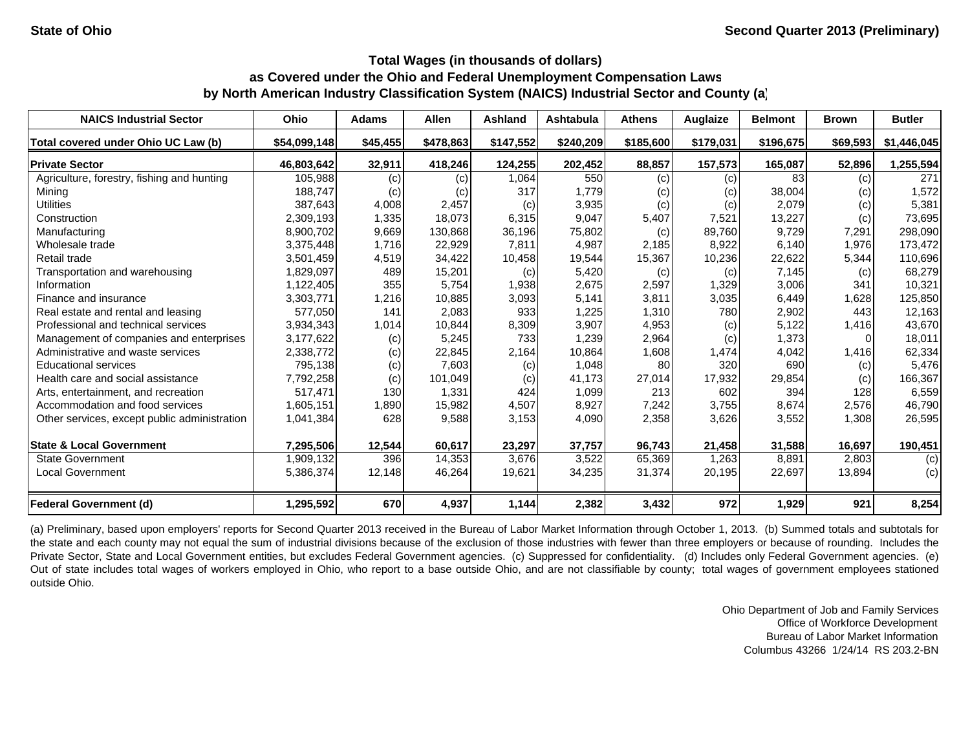| <b>NAICS Industrial Sector</b>               | Ohio         | <b>Adams</b> | <b>Allen</b> | <b>Ashland</b> | Ashtabula | <b>Athens</b> | Auglaize  | <b>Belmont</b> | <b>Brown</b> | <b>Butler</b> |
|----------------------------------------------|--------------|--------------|--------------|----------------|-----------|---------------|-----------|----------------|--------------|---------------|
| Total covered under Ohio UC Law (b)          | \$54,099,148 | \$45,455     | \$478,863    | \$147,552      | \$240,209 | \$185,600     | \$179,031 | \$196,675      | \$69,593     | \$1,446,045   |
| <b>Private Sector</b>                        | 46,803,642   | 32,911       | 418,246      | 124,255        | 202,452   | 88,857        | 157,573   | 165,087        | 52,896       | 1,255,594     |
| Agriculture, forestry, fishing and hunting   | 105,988      | (c)          | (c)          | 1,064          | 550       | (c)           | (c)       | 83             | (c)          | 271           |
| Mining                                       | 188,747      | (c)          | (c)          | 317            | 1.779     | (c)           | (c)       | 38,004         | $\left( $    | 1,572         |
| <b>Utilities</b>                             | 387,643      | 4,008        | 2,457        | (c)            | 3,935     | (c)           | (c)       | 2,079          | (c)          | 5,381         |
| Construction                                 | 2,309,193    | 1,335        | 18,073       | 6,315          | 9.047     | 5,407         | 7,521     | 13,227         | (c)          | 73,695        |
| Manufacturing                                | 8,900,702    | 9,669        | 130,868      | 36,196         | 75,802    | (c)           | 89,760    | 9,729          | 7,291        | 298,090       |
| Wholesale trade                              | 3,375,448    | 1.716        | 22,929       | 7,811          | 4.987     | 2.185         | 8,922     | 6,140          | 1.976        | 173,472       |
| Retail trade                                 | 3,501,459    | 4,519        | 34,422       | 10,458         | 19,544    | 15,367        | 10,236    | 22,622         | 5,344        | 110,696       |
| Transportation and warehousing               | 1,829,097    | 489          | 15,201       | (c)            | 5,420     | (c)           | (c)       | 7,145          | (c)          | 68,279        |
| Information                                  | 1,122,405    | 355          | 5,754        | 1,938          | 2,675     | 2,597         | 1,329     | 3,006          | 341          | 10,321        |
| Finance and insurance                        | 3,303,771    | 1,216        | 10,885       | 3,093          | 5,141     | 3,811         | 3,035     | 6,449          | 1,628        | 125,850       |
| Real estate and rental and leasing           | 577.050      | 141          | 2,083        | 933            | 1,225     | 1,310         | 780       | 2,902          | 443          | 12,163        |
| Professional and technical services          | 3,934,343    | 1,014        | 10,844       | 8,309          | 3,907     | 4,953         | (c)       | 5,122          | 1,416        | 43,670        |
| Management of companies and enterprises      | 3,177,622    | (c)          | 5,245        | 733            | 1,239     | 2,964         | (c)       | 1,373          | <sup>0</sup> | 18,011        |
| Administrative and waste services            | 2,338,772    | (c)          | 22,845       | 2,164          | 10,864    | 1,608         | 1,474     | 4,042          | 1,416        | 62,334        |
| <b>Educational services</b>                  | 795,138      | (c)          | 7,603        | (c)            | 1,048     | 80            | 320       | 690            | (c)          | 5,476         |
| Health care and social assistance            | 7,792,258    | (c)          | 101,049      | (c)            | 41,173    | 27,014        | 17,932    | 29,854         | (c)          | 166,367       |
| Arts, entertainment, and recreation          | 517,471      | 130          | 1,331        | 424            | 1,099     | 213           | 602       | 394            | 128          | 6,559         |
| Accommodation and food services              | 1,605,151    | 1,890        | 15,982       | 4,507          | 8,927     | 7,242         | 3,755     | 8,674          | 2,576        | 46,790        |
| Other services, except public administration | 1,041,384    | 628          | 9,588        | 3,153          | 4,090     | 2,358         | 3,626     | 3,552          | 1,308        | 26,595        |
| <b>State &amp; Local Government</b>          | 7,295,506    | 12,544       | 60,617       | 23,297         | 37,757    | 96,743        | 21,458    | 31,588         | 16,697       | 190,451       |
| <b>State Government</b>                      | 1,909,132    | 396          | 14,353       | 3,676          | 3,522     | 65,369        | 1,263     | 8,891          | 2,803        | (c)           |
| <b>Local Government</b>                      | 5,386,374    | 12,148       | 46,264       | 19,621         | 34,235    | 31,374        | 20,195    | 22,697         | 13,894       | (c)           |
| <b>Federal Government (d)</b>                | 1,295,592    | 670          | 4,937        | 1,144          | 2,382     | 3,432         | 972       | 1,929          | 921          | 8,254         |

(a) Preliminary, based upon employers' reports for Second Quarter 2013 received in the Bureau of Labor Market Information through October 1, 2013. (b) Summed totals and subtotals for the state and each county may not equal the sum of industrial divisions because of the exclusion of those industries with fewer than three employers or because of rounding. Includes the Private Sector, State and Local Government entities, but excludes Federal Government agencies. (c) Suppressed for confidentiality. (d) Includes only Federal Government agencies. (e) Out of state includes total wages of workers employed in Ohio, who report to <sup>a</sup> base outside Ohio, and are not classifiable by county; total wages of government employees stationed outside Ohio.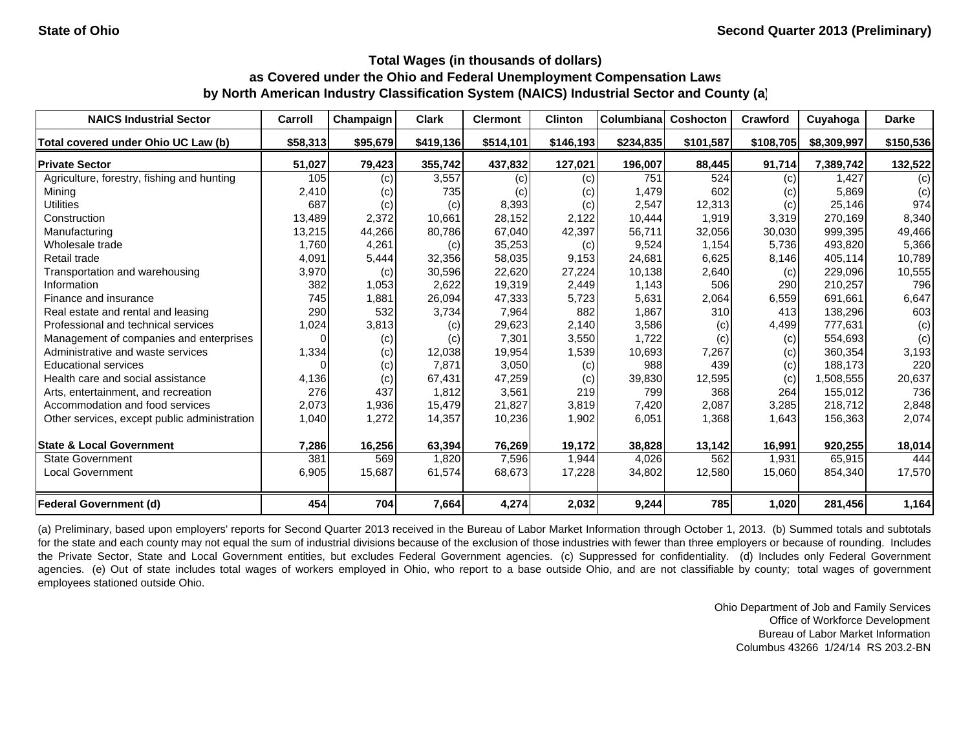| <b>NAICS Industrial Sector</b>               | Carroll  | Champaign | <b>Clark</b> | <b>Clermont</b> | <b>Clinton</b> | Columbiana | <b>Coshocton</b> | Crawford  | Cuyahoga    | <b>Darke</b> |
|----------------------------------------------|----------|-----------|--------------|-----------------|----------------|------------|------------------|-----------|-------------|--------------|
| Total covered under Ohio UC Law (b)          | \$58,313 | \$95,679  | \$419,136    | \$514,101       | \$146,193      | \$234,835  | \$101,587        | \$108,705 | \$8,309,997 | \$150,536    |
| <b>Private Sector</b>                        | 51,027   | 79,423    | 355,742      | 437,832         | 127,021        | 196,007    | 88,445           | 91,714    | 7,389,742   | 132,522      |
| Agriculture, forestry, fishing and hunting   | 105      | (c)       | 3,557        | (c)             | (c)            | 751        | 524              | (c)       | 1.427       | (c)          |
| Mining                                       | 2,410    | (c)       | 735          | (c)             | (c)            | 1,479      | 602              | (c)       | 5,869       | (c)          |
| <b>Utilities</b>                             | 687      | (c)       | (c)          | 8,393           | (c)            | 2,547      | 12,313           | (c)       | 25,146      | 974          |
| Construction                                 | 13,489   | 2,372     | 10,661       | 28,152          | 2.122          | 10,444     | 1,919            | 3,319     | 270.169     | 8,340        |
| Manufacturing                                | 13,215   | 44,266    | 80,786       | 67,040          | 42,397         | 56,711     | 32,056           | 30,030    | 999,395     | 49,466       |
| Wholesale trade                              | 1,760    | 4,261     | (c)          | 35,253          | (c)            | 9,524      | 1,154            | 5,736     | 493.820     | 5,366        |
| Retail trade                                 | 4,091    | 5,444     | 32,356       | 58,035          | 9,153          | 24,681     | 6,625            | 8,146     | 405,114     | 10,789       |
| Transportation and warehousing               | 3,970    | (c)       | 30,596       | 22,620          | 27,224         | 10,138     | 2,640            | (c)       | 229,096     | 10,555       |
| Information                                  | 382      | 1,053     | 2,622        | 19,319          | 2,449          | 1,143      | 506              | 290       | 210,257     | 796          |
| Finance and insurance                        | 745      | 1,881     | 26,094       | 47,333          | 5,723          | 5,631      | 2,064            | 6,559     | 691,661     | 6,647        |
| Real estate and rental and leasing           | 290      | 532       | 3,734        | 7,964           | 882            | 1,867      | 310              | 413       | 138,296     | 603          |
| Professional and technical services          | 1,024    | 3,813     | (c)          | 29,623          | 2,140          | 3,586      | (c)              | 4,499     | 777,631     | (c)          |
| Management of companies and enterprises      | 0        | (c)       | (c)          | 7,301           | 3,550          | 1,722      | (c)              | (c)       | 554,693     | (c)          |
| Administrative and waste services            | 1,334    | (c)       | 12,038       | 19,954          | 1,539          | 10,693     | 7,267            | (c)       | 360,354     | 3,193        |
| <b>Educational services</b>                  |          | (c)       | 7,871        | 3,050           | (c)            | 988        | 439              | (c)       | 188,173     | 220          |
| Health care and social assistance            | 4,136    | (c)       | 67,431       | 47,259          | (c)            | 39,830     | 12,595           | (c)       | 1,508,555   | 20,637       |
| Arts, entertainment, and recreation          | 276      | 437       | 1.812        | 3,561           | 219            | 799        | 368              | 264       | 155,012     | 736          |
| Accommodation and food services              | 2,073    | 1,936     | 15,479       | 21,827          | 3,819          | 7,420      | 2,087            | 3,285     | 218,712     | 2,848        |
| Other services, except public administration | 1,040    | 1,272     | 14,357       | 10,236          | 1,902          | 6,051      | 1,368            | 1,643     | 156,363     | 2,074        |
| <b>State &amp; Local Government</b>          | 7,286    | 16,256    | 63,394       | 76,269          | 19,172         | 38,828     | 13,142           | 16,991    | 920,255     | 18,014       |
| <b>State Government</b>                      | 381      | 569       | 1,820        | 7,596           | 1,944          | 4,026      | 562              | 1,931     | 65,915      | 444          |
| <b>Local Government</b>                      | 6,905    | 15,687    | 61,574       | 68,673          | 17,228         | 34,802     | 12,580           | 15,060    | 854,340     | 17,570       |
| Federal Government (d)                       | 454      | 704       | 7,664        | 4,274           | 2,032          | 9,244      | 785              | 1,020     | 281,456     | 1,164        |

(a) Preliminary, based upon employers' reports for Second Quarter 2013 received in the Bureau of Labor Market Information through October 1, 2013. (b) Summed totals and subtotals for the state and each county may not equal the sum of industrial divisions because of the exclusion of those industries with fewer than three employers or because of rounding. Includes the Private Sector, State and Local Government entities, but excludes Federal Government agencies. (c) Suppressed for confidentiality. (d) Includes only Federal Government agencies. (e) Out of state includes total wages of workers employed in Ohio, who report to a base outside Ohio, and are not classifiable by county; total wages of government employees stationed outside Ohio.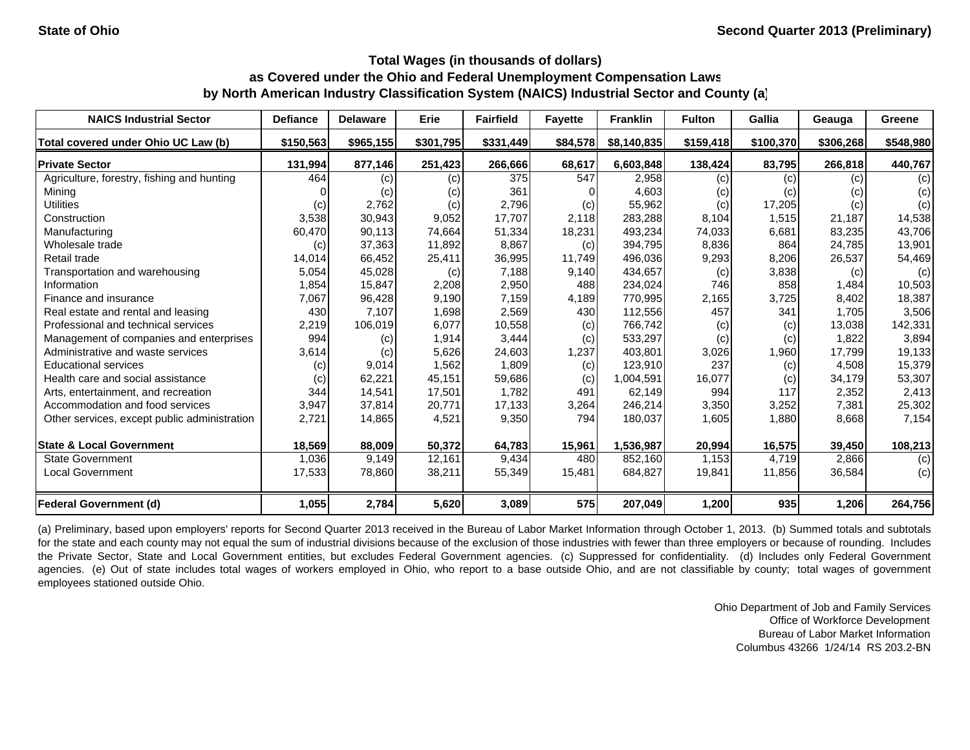| <b>NAICS Industrial Sector</b>               | <b>Defiance</b> | <b>Delaware</b> | Erie      | <b>Fairfield</b> | <b>Favette</b> | <b>Franklin</b> | <b>Fulton</b> | Gallia    | Geauga    | Greene    |
|----------------------------------------------|-----------------|-----------------|-----------|------------------|----------------|-----------------|---------------|-----------|-----------|-----------|
| Total covered under Ohio UC Law (b)          | \$150,563       | \$965,155       | \$301,795 | \$331,449        | \$84,578       | \$8,140,835     | \$159,418     | \$100,370 | \$306,268 | \$548,980 |
| <b>Private Sector</b>                        | 131,994         | 877,146         | 251,423   | 266,666          | 68,617         | 6,603,848       | 138,424       | 83,795    | 266,818   | 440,767   |
| Agriculture, forestry, fishing and hunting   | 464             | (c)             | (c)       | 375              | 547            | 2,958           | (c)           | (c)       | (c)       | (c)       |
| Mining                                       |                 | (c)             | (c)       | 361              |                | 4,603           | (c)           | (c)       | (c)       | (c)       |
| <b>Utilities</b>                             | (c)             | 2,762           | (c)       | 2,796            | (c)            | 55,962          | (c)           | 17,205    | (c)       | (c)       |
| Construction                                 | 3,538           | 30,943          | 9,052     | 17.707           | 2,118          | 283,288         | 8,104         | 1,515     | 21,187    | 14,538    |
| Manufacturing                                | 60,470          | 90,113          | 74,664    | 51,334           | 18,231         | 493,234         | 74,033        | 6,681     | 83,235    | 43,706    |
| Wholesale trade                              | (c)             | 37,363          | 11,892    | 8,867            | (c)            | 394,795         | 8,836         | 864       | 24,785    | 13,901    |
| Retail trade                                 | 14,014          | 66,452          | 25,411    | 36,995           | 11,749         | 496,036         | 9,293         | 8,206     | 26,537    | 54,469    |
| Transportation and warehousing               | 5,054           | 45,028          | (c)       | 7,188            | 9,140          | 434,657         | (c)           | 3,838     | (c)       | (c)       |
| Information                                  | 1,854           | 15,847          | 2,208     | 2,950            | 488            | 234,024         | 746           | 858       | 1,484     | 10,503    |
| Finance and insurance                        | 7,067           | 96,428          | 9,190     | 7,159            | 4,189          | 770,995         | 2,165         | 3,725     | 8,402     | 18,387    |
| Real estate and rental and leasing           | 430             | 7,107           | 1,698     | 2,569            | 430            | 112,556         | 457           | 341       | 1,705     | 3,506     |
| Professional and technical services          | 2,219           | 106,019         | 6,077     | 10,558           | (c)            | 766,742         | (c)           | (c)       | 13,038    | 142,331   |
| Management of companies and enterprises      | 994             | (c)             | 1,914     | 3,444            | (c)            | 533,297         | (c)           | (c)       | 1,822     | 3,894     |
| Administrative and waste services            | 3,614           | (c)             | 5,626     | 24,603           | 1,237          | 403,801         | 3,026         | 1,960     | 17,799    | 19,133    |
| <b>Educational services</b>                  | (c)             | 9,014           | 1,562     | 1,809            | (c)            | 123,910         | 237           | (c)       | 4,508     | 15,379    |
| Health care and social assistance            | (c)             | 62,221          | 45,151    | 59,686           | (c)            | 1,004,591       | 16,077        | (c)       | 34,179    | 53,307    |
| Arts, entertainment, and recreation          | 344             | 14,541          | 17,501    | 1,782            | 491            | 62,149          | 994           | 117       | 2,352     | 2,413     |
| Accommodation and food services              | 3,947           | 37,814          | 20,771    | 17,133           | 3,264          | 246,214         | 3,350         | 3,252     | 7,381     | 25,302    |
| Other services, except public administration | 2,721           | 14,865          | 4,521     | 9,350            | 794            | 180,037         | 1,605         | 1,880     | 8,668     | 7,154     |
| <b>State &amp; Local Government</b>          | 18,569          | 88,009          | 50,372    | 64,783           | 15,961         | 1,536,987       | 20,994        | 16,575    | 39,450    | 108,213   |
| <b>State Government</b>                      | 1,036           | 9,149           | 12,161    | 9,434            | 480            | 852,160         | 1,153         | 4,719     | 2,866     | (c)       |
| <b>Local Government</b>                      | 17,533          | 78,860          | 38,211    | 55,349           | 15,481         | 684,827         | 19,841        | 11,856    | 36,584    | (c)       |
| <b>Federal Government (d)</b>                | 1,055           | 2,784           | 5,620     | 3,089            | 575            | 207,049         | 1,200         | 935       | 1,206     | 264,756   |

(a) Preliminary, based upon employers' reports for Second Quarter 2013 received in the Bureau of Labor Market Information through October 1, 2013. (b) Summed totals and subtotals for the state and each county may not equal the sum of industrial divisions because of the exclusion of those industries with fewer than three employers or because of rounding. Includes the Private Sector, State and Local Government entities, but excludes Federal Government agencies. (c) Suppressed for confidentiality. (d) Includes only Federal Government agencies. (e) Out of state includes total wages of workers employed in Ohio, who report to a base outside Ohio, and are not classifiable by county; total wages of government employees stationed outside Ohio.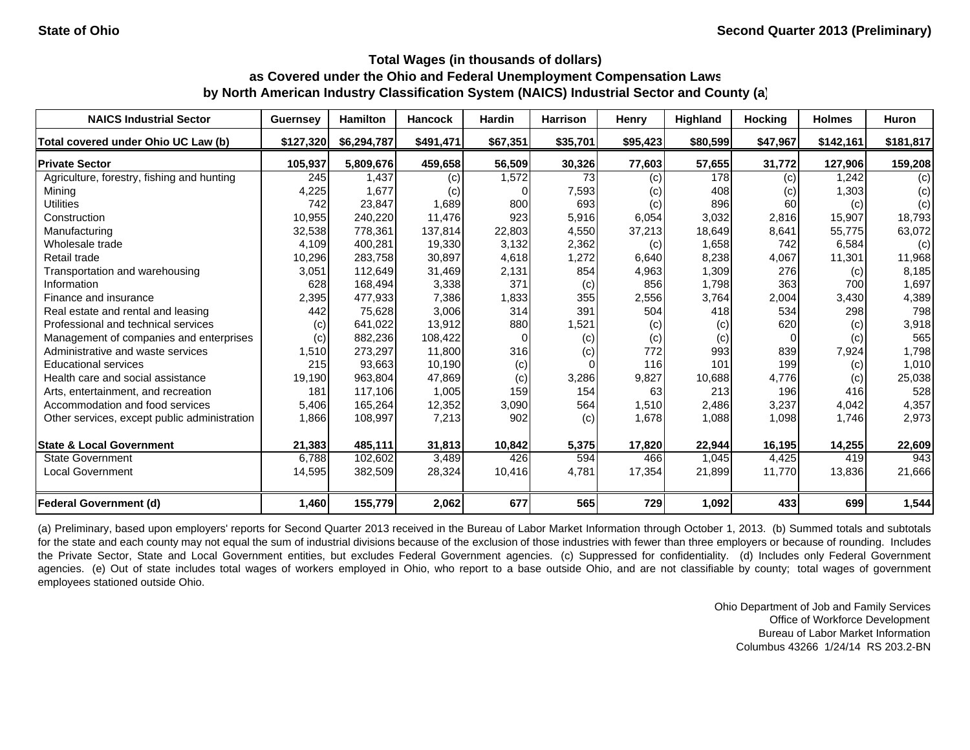| <b>NAICS Industrial Sector</b>               | <b>Guernsey</b> | <b>Hamilton</b> | <b>Hancock</b> | <b>Hardin</b> | <b>Harrison</b> | Henry    | <b>Highland</b> | <b>Hocking</b> | <b>Holmes</b> | Huron     |
|----------------------------------------------|-----------------|-----------------|----------------|---------------|-----------------|----------|-----------------|----------------|---------------|-----------|
| Total covered under Ohio UC Law (b)          | \$127,320       | \$6,294,787     | \$491,471      | \$67,351      | \$35,701        | \$95,423 | \$80,599        | \$47,967       | \$142,161     | \$181,817 |
| <b>Private Sector</b>                        | 105,937         | 5.809.676       | 459,658        | 56,509        | 30,326          | 77,603   | 57,655          | 31,772         | 127.906       | 159,208   |
| Agriculture, forestry, fishing and hunting   | 245             | 1,437           | (c)            | 1,572         | 73              | (c)      | 178             | (c)            | 1,242         | (c)       |
| Mining                                       | 4,225           | 1,677           | (c)            |               | 7,593           | (c)      | 408             | (c)            | 1,303         | (c)       |
| <b>Utilities</b>                             | 742             | 23,847          | 1,689          | 800           | 693             | (c)      | 896             | 60             | (c)           | (c)       |
| Construction                                 | 10,955          | 240,220         | 11,476         | 923           | 5,916           | 6,054    | 3,032           | 2,816          | 15,907        | 18,793    |
| Manufacturing                                | 32,538          | 778,361         | 137,814        | 22,803        | 4,550           | 37,213   | 18,649          | 8,641          | 55,775        | 63,072    |
| Wholesale trade                              | 4,109           | 400,281         | 19,330         | 3,132         | 2,362           | (c)      | 1,658           | 742            | 6,584         | (c)       |
| Retail trade                                 | 10,296          | 283,758         | 30,897         | 4,618         | 1,272           | 6,640    | 8,238           | 4,067          | 11,301        | 11,968    |
| Transportation and warehousing               | 3,051           | 112,649         | 31,469         | 2,131         | 854             | 4,963    | 1,309           | 276            | (c)           | 8,185     |
| Information                                  | 628             | 168,494         | 3,338          | 371           | (c)             | 856      | 1,798           | 363            | 700           | 1,697     |
| Finance and insurance                        | 2,395           | 477,933         | 7,386          | 1,833         | 355             | 2,556    | 3,764           | 2,004          | 3,430         | 4,389     |
| Real estate and rental and leasing           | 442             | 75,628          | 3,006          | 314           | 391             | 504      | 418             | 534            | 298           | 798       |
| Professional and technical services          | (c)             | 641.022         | 13,912         | 880           | 1,521           | (c)      | (c)             | 620            | (c)           | 3,918     |
| Management of companies and enterprises      | (c)             | 882,236         | 108,422        | $\Omega$      | (c)             | (c)      | (c)             | $\Omega$       | (c)           | 565       |
| Administrative and waste services            | 1,510           | 273,297         | 11,800         | 316           | (c)             | 772      | 993             | 839            | 7,924         | 1,798     |
| <b>Educational services</b>                  | 215             | 93,663          | 10,190         | (c)           |                 | 116      | 101             | 199            | (c)           | 1,010     |
| Health care and social assistance            | 19,190          | 963,804         | 47,869         | (c)           | 3,286           | 9,827    | 10,688          | 4,776          | (c)           | 25,038    |
| Arts, entertainment, and recreation          | 181             | 117.106         | 1,005          | 159           | 154             | 63       | 213             | 196            | 416           | 528       |
| Accommodation and food services              | 5,406           | 165,264         | 12,352         | 3,090         | 564             | 1,510    | 2,486           | 3,237          | 4,042         | 4,357     |
| Other services, except public administration | 1,866           | 108,997         | 7,213          | 902           | (c)             | 1,678    | 1,088           | 1,098          | 1,746         | 2,973     |
| <b>State &amp; Local Government</b>          | 21,383          | 485,111         | 31,813         | 10,842        | 5,375           | 17,820   | 22,944          | 16,195         | 14,255        | 22,609    |
| <b>State Government</b>                      | 6,788           | 102,602         | 3,489          | 426           | 594             | 466      | 1,045           | 4,425          | 419           | 943       |
| <b>Local Government</b>                      | 14,595          | 382,509         | 28,324         | 10,416        | 4,781           | 17,354   | 21,899          | 11,770         | 13,836        | 21,666    |
| Federal Government (d)                       | 1,460           | 155,779         | 2,062          | 677           | 565             | 729      | 1,092           | 433            | 699           | 1,544     |

(a) Preliminary, based upon employers' reports for Second Quarter 2013 received in the Bureau of Labor Market Information through October 1, 2013. (b) Summed totals and subtotals for the state and each county may not equal the sum of industrial divisions because of the exclusion of those industries with fewer than three employers or because of rounding. Includes the Private Sector, State and Local Government entities, but excludes Federal Government agencies. (c) Suppressed for confidentiality. (d) Includes only Federal Government agencies. (e) Out of state includes total wages of workers employed in Ohio, who report to a base outside Ohio, and are not classifiable by county; total wages of government employees stationed outside Ohio.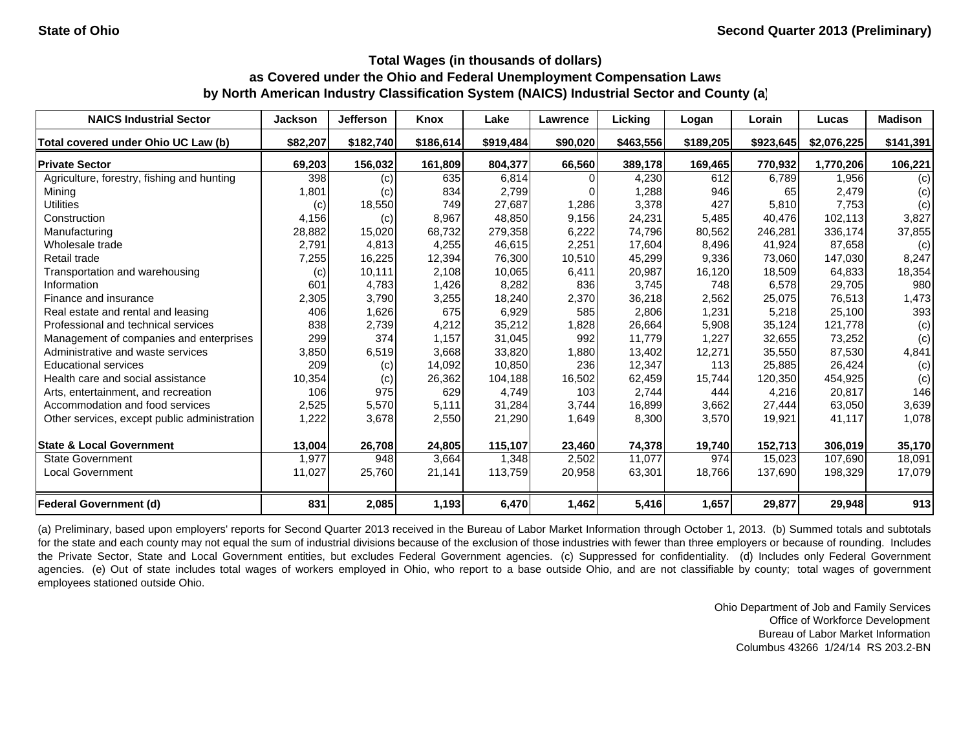| <b>NAICS Industrial Sector</b>               | <b>Jackson</b> | Jefferson | Knox      | Lake      | <b>Lawrence</b> | Licking   | Logan     | Lorain    | Lucas       | <b>Madison</b> |
|----------------------------------------------|----------------|-----------|-----------|-----------|-----------------|-----------|-----------|-----------|-------------|----------------|
| Total covered under Ohio UC Law (b)          | \$82,207       | \$182,740 | \$186,614 | \$919,484 | \$90,020        | \$463,556 | \$189,205 | \$923,645 | \$2,076,225 | \$141,391      |
| <b>Private Sector</b>                        | 69,203         | 156,032   | 161,809   | 804,377   | 66,560          | 389,178   | 169,465   | 770,932   | 1.770.206   | 106,221        |
| Agriculture, forestry, fishing and hunting   | 398            | (c)       | 635       | 6,814     |                 | 4,230     | 612       | 6,789     | 1,956       | (c)            |
| Mining                                       | 1,801          | (c)       | 834       | 2,799     |                 | 1,288     | 946       | 65        | 2,479       | (c)            |
| <b>Utilities</b>                             | (c)            | 18,550    | 749       | 27,687    | 1,286           | 3,378     | 427       | 5,810     | 7,753       | (c)            |
| Construction                                 | 4,156          | (c)       | 8.967     | 48.850    | 9.156           | 24,231    | 5,485     | 40.476    | 102.113     | 3,827          |
| Manufacturing                                | 28,882         | 15,020    | 68,732    | 279,358   | 6,222           | 74,796    | 80,562    | 246,281   | 336,174     | 37,855         |
| Wholesale trade                              | 2,791          | 4,813     | 4,255     | 46,615    | 2,251           | 17,604    | 8,496     | 41,924    | 87,658      | (c)            |
| Retail trade                                 | 7,255          | 16,225    | 12,394    | 76,300    | 10,510          | 45,299    | 9,336     | 73,060    | 147,030     | 8,247          |
| Transportation and warehousing               | (c)            | 10,111    | 2,108     | 10,065    | 6,411           | 20,987    | 16,120    | 18,509    | 64,833      | 18,354         |
| Information                                  | 601            | 4,783     | 1,426     | 8,282     | 836             | 3,745     | 748       | 6,578     | 29,705      | 980            |
| Finance and insurance                        | 2,305          | 3,790     | 3,255     | 18,240    | 2,370           | 36,218    | 2,562     | 25,075    | 76,513      | 1,473          |
| Real estate and rental and leasing           | 406            | 1,626     | 675       | 6,929     | 585             | 2,806     | 1,231     | 5,218     | 25,100      | 393            |
| Professional and technical services          | 838            | 2,739     | 4,212     | 35,212    | 1,828           | 26,664    | 5,908     | 35,124    | 121,778     | (c)            |
| Management of companies and enterprises      | 299            | 374       | 1,157     | 31,045    | 992             | 11,779    | 1,227     | 32,655    | 73,252      | (c)            |
| Administrative and waste services            | 3,850          | 6,519     | 3,668     | 33,820    | 1,880           | 13,402    | 12,271    | 35,550    | 87,530      | 4,841          |
| <b>Educational services</b>                  | 209            | (c)       | 14,092    | 10,850    | 236             | 12,347    | 113       | 25,885    | 26,424      | (c)            |
| Health care and social assistance            | 10,354         | (c)       | 26,362    | 104,188   | 16,502          | 62,459    | 15,744    | 120,350   | 454,925     | (c)            |
| Arts, entertainment, and recreation          | 106            | 975       | 629       | 4,749     | 103             | 2,744     | 444       | 4.216     | 20,817      | 146            |
| Accommodation and food services              | 2,525          | 5,570     | 5,111     | 31,284    | 3,744           | 16,899    | 3,662     | 27,444    | 63,050      | 3,639          |
| Other services, except public administration | 1,222          | 3,678     | 2,550     | 21,290    | 1,649           | 8,300     | 3,570     | 19,921    | 41,117      | 1,078          |
| <b>State &amp; Local Government</b>          | 13,004         | 26,708    | 24,805    | 115,107   | 23,460          | 74,378    | 19,740    | 152,713   | 306,019     | 35,170         |
| <b>State Government</b>                      | 1,977          | 948       | 3,664     | 1,348     | 2,502           | 11,077    | 974       | 15,023    | 107,690     | 18,091         |
| Local Government                             | 11,027         | 25,760    | 21,141    | 113,759   | 20,958          | 63,301    | 18,766    | 137,690   | 198,329     | 17,079         |
| <b>Federal Government (d)</b>                | 831            | 2,085     | 1,193     | 6,470     | 1,462           | 5,416     | 1,657     | 29,877    | 29,948      | 913            |

(a) Preliminary, based upon employers' reports for Second Quarter 2013 received in the Bureau of Labor Market Information through October 1, 2013. (b) Summed totals and subtotals for the state and each county may not equal the sum of industrial divisions because of the exclusion of those industries with fewer than three employers or because of rounding. Includes the Private Sector, State and Local Government entities, but excludes Federal Government agencies. (c) Suppressed for confidentiality. (d) Includes only Federal Government agencies. (e) Out of state includes total wages of workers employed in Ohio, who report to a base outside Ohio, and are not classifiable by county; total wages of government employees stationed outside Ohio.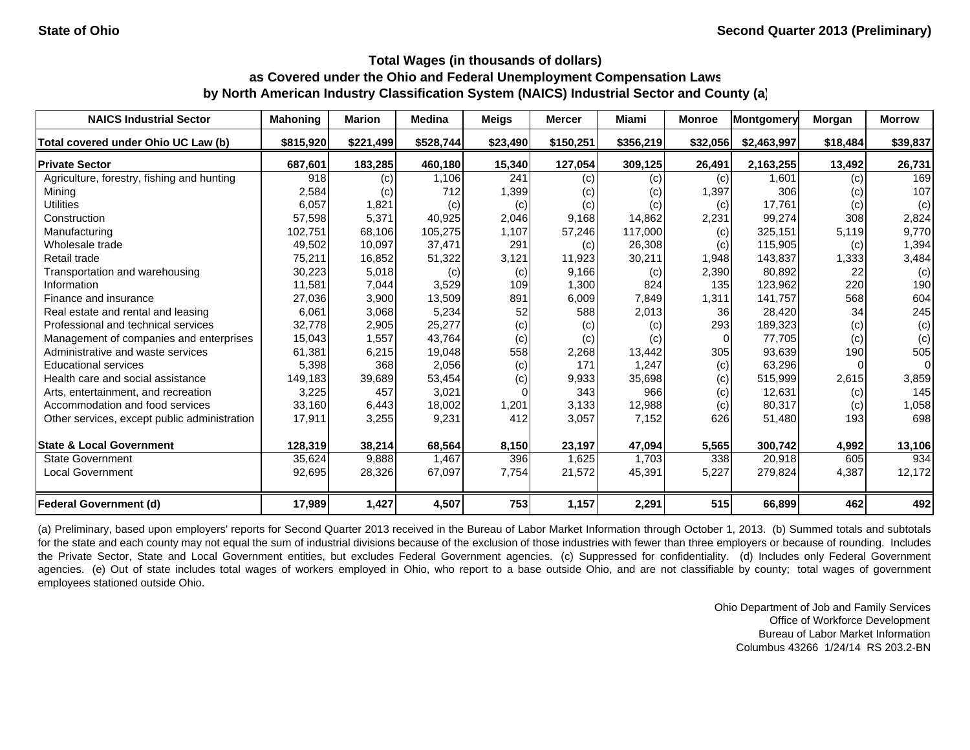| <b>NAICS Industrial Sector</b>               | <b>Mahoning</b> | <b>Marion</b> | <b>Medina</b> | <b>Meigs</b> | <b>Mercer</b> | Miami     | <b>Monroe</b> | Montgomery  | Morgan   | <b>Morrow</b> |
|----------------------------------------------|-----------------|---------------|---------------|--------------|---------------|-----------|---------------|-------------|----------|---------------|
| Total covered under Ohio UC Law (b)          | \$815,920       | \$221,499     | \$528,744     | \$23,490     | \$150,251     | \$356,219 | \$32,056      | \$2,463,997 | \$18,484 | \$39,837      |
| <b>Private Sector</b>                        | 687,601         | 183,285       | 460,180       | 15,340       | 127,054       | 309,125   | 26,491        | 2,163,255   | 13,492   | 26,731        |
| Agriculture, forestry, fishing and hunting   | 918             | (c)           | 1,106         | 241          | (c)           | (c)       | (c)           | 1,601       | (c)      | 169           |
| Mining                                       | 2,584           | (c)           | 712           | 1,399        | (c)           | (c)       | 1,397         | 306         | (c)      | 107           |
| <b>Utilities</b>                             | 6,057           | 1,821         | (c)           | (c)          | (c)           | (c)       | (c)           | 17,761      | (c)      | (c)           |
| Construction                                 | 57,598          | 5,371         | 40,925        | 2,046        | 9,168         | 14,862    | 2,231         | 99,274      | 308      | 2,824         |
| Manufacturing                                | 102,751         | 68,106        | 105,275       | 1,107        | 57,246        | 117,000   | (c)           | 325,151     | 5,119    | 9,770         |
| Wholesale trade                              | 49,502          | 10,097        | 37,471        | 291          | (c)           | 26,308    | (c)           | 115,905     | (c)      | 1,394         |
| Retail trade                                 | 75,211          | 16,852        | 51,322        | 3,121        | 11,923        | 30,211    | 1,948         | 143,837     | 1,333    | 3,484         |
| Transportation and warehousing               | 30,223          | 5,018         | (c)           | (c)          | 9,166         | (c)       | 2,390         | 80,892      | 22       | (c)           |
| Information                                  | 11,581          | 7,044         | 3,529         | 109          | 1,300         | 824       | 135           | 123,962     | 220      | 190           |
| Finance and insurance                        | 27,036          | 3,900         | 13,509        | 891          | 6,009         | 7,849     | 1,311         | 141,757     | 568      | 604           |
| Real estate and rental and leasing           | 6,061           | 3,068         | 5,234         | 52           | 588           | 2,013     | 36            | 28,420      | 34       | 245           |
| Professional and technical services          | 32,778          | 2,905         | 25,277        | (c)          | (c)           | (c)       | 293           | 189,323     | (c)      | (c)           |
| Management of companies and enterprises      | 15,043          | 1,557         | 43,764        | (c)          | (c)           | (c)       | $\Omega$      | 77,705      | (c)      | (c)           |
| Administrative and waste services            | 61,381          | 6,215         | 19,048        | 558          | 2,268         | 13,442    | 305           | 93,639      | 190      | 505           |
| <b>Educational services</b>                  | 5,398           | 368           | 2,056         | (c)          | 171           | 1,247     | (c)           | 63,296      |          | 0             |
| Health care and social assistance            | 149,183         | 39,689        | 53,454        | (c)          | 9,933         | 35,698    | (c)           | 515,999     | 2,615    | 3,859         |
| Arts, entertainment, and recreation          | 3,225           | 457           | 3,021         |              | 343           | 966       | (c)           | 12,631      | (c)      | 145           |
| Accommodation and food services              | 33,160          | 6,443         | 18,002        | 1,201        | 3,133         | 12,988    | (c)           | 80,317      | (c)      | 1,058         |
| Other services, except public administration | 17,911          | 3,255         | 9,231         | 412          | 3,057         | 7,152     | 626           | 51,480      | 193      | 698           |
| <b>State &amp; Local Government</b>          | 128,319         | 38,214        | 68,564        | 8,150        | 23,197        | 47,094    | 5,565         | 300,742     | 4,992    | 13,106        |
| <b>State Government</b>                      | 35,624          | 9,888         | 1,467         | 396          | 1,625         | 1,703     | 338           | 20,918      | 605      | 934           |
| <b>Local Government</b>                      | 92,695          | 28,326        | 67,097        | 7,754        | 21,572        | 45,391    | 5,227         | 279,824     | 4,387    | 12,172        |
| <b>Federal Government (d)</b>                | 17,989          | 1,427         | 4,507         | 753          | 1,157         | 2,291     | 515           | 66,899      | 462      | 492           |

(a) Preliminary, based upon employers' reports for Second Quarter 2013 received in the Bureau of Labor Market Information through October 1, 2013. (b) Summed totals and subtotals for the state and each county may not equal the sum of industrial divisions because of the exclusion of those industries with fewer than three employers or because of rounding. Includes the Private Sector, State and Local Government entities, but excludes Federal Government agencies. (c) Suppressed for confidentiality. (d) Includes only Federal Government agencies. (e) Out of state includes total wages of workers employed in Ohio, who report to a base outside Ohio, and are not classifiable by county; total wages of government employees stationed outside Ohio.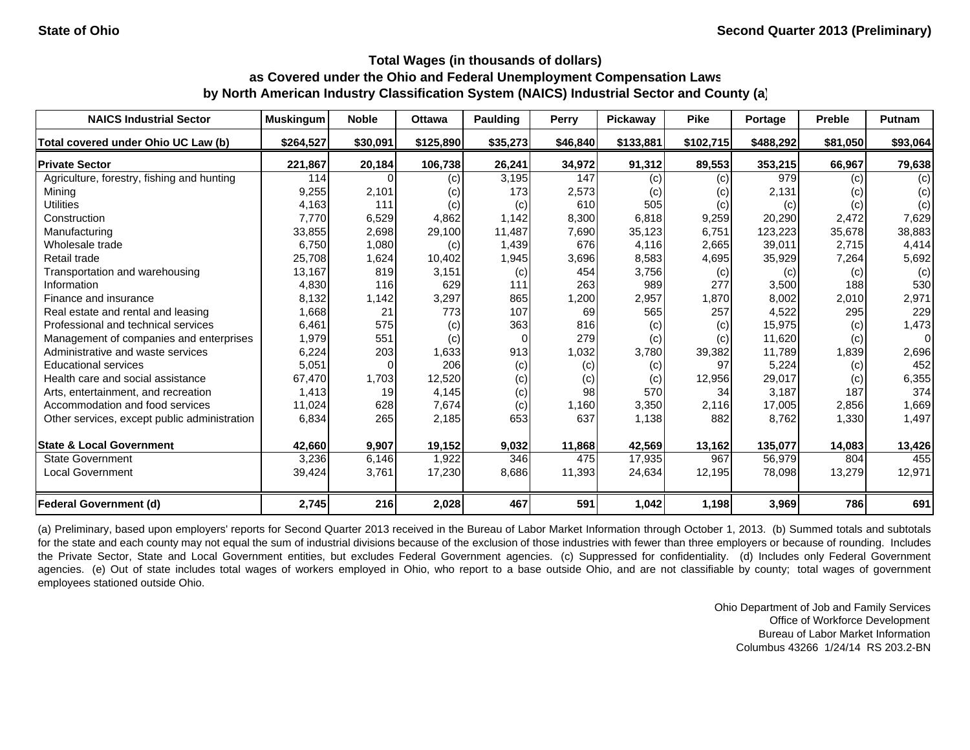| <b>NAICS Industrial Sector</b>               | <b>Muskingum</b> | <b>Noble</b> | <b>Ottawa</b> | Paulding | Perry    | <b>Pickaway</b> | <b>Pike</b> | <b>Portage</b> | <b>Preble</b> | <b>Putnam</b> |
|----------------------------------------------|------------------|--------------|---------------|----------|----------|-----------------|-------------|----------------|---------------|---------------|
| Total covered under Ohio UC Law (b)          | \$264,527        | \$30,091     | \$125,890     | \$35,273 | \$46,840 | \$133,881       | \$102,715   | \$488,292      | \$81,050      | \$93,064      |
| <b>Private Sector</b>                        | 221,867          | 20,184       | 106,738       | 26,241   | 34,972   | 91,312          | 89,553      | 353,215        | 66,967        | 79,638        |
| Agriculture, forestry, fishing and hunting   | 114              |              | (c)           | 3,195    | 147      | (c)             | (c)         | 979            | (c)           | (c)           |
| Mining                                       | 9,255            | 2,101        | (c)           | 173      | 2,573    | (c)             | (c)         | 2,131          | (c)           | (c)           |
| <b>Utilities</b>                             | 4,163            | 111          | (c)           | (c)      | 610      | 505             | (c)         | (c)            | (c)           | (c)           |
| Construction                                 | 7.770            | 6,529        | 4.862         | 1.142    | 8,300    | 6,818           | 9,259       | 20,290         | 2.472         | 7,629         |
| Manufacturing                                | 33,855           | 2,698        | 29,100        | 11,487   | 7,690    | 35,123          | 6,751       | 123,223        | 35,678        | 38,883        |
| Wholesale trade                              | 6,750            | 1,080        | (c)           | 1,439    | 676      | 4,116           | 2,665       | 39,011         | 2,715         | 4,414         |
| Retail trade                                 | 25,708           | 1,624        | 10,402        | 1,945    | 3,696    | 8,583           | 4,695       | 35,929         | 7,264         | 5,692         |
| Transportation and warehousing               | 13,167           | 819          | 3,151         | (c)      | 454      | 3,756           | (c)         | (c)            | (c)           | (c)           |
| Information                                  | 4,830            | 116          | 629           | 111      | 263      | 989             | 277         | 3,500          | 188           | 530           |
| Finance and insurance                        | 8,132            | 1,142        | 3,297         | 865      | 1,200    | 2,957           | 1.870       | 8,002          | 2,010         | 2,971         |
| Real estate and rental and leasing           | 1,668            | 21           | 773           | 107      | 69       | 565             | 257         | 4,522          | 295           | 229           |
| Professional and technical services          | 6,461            | 575          | (c)           | 363      | 816      | (c)             | (c)         | 15,975         | (c)           | 1,473         |
| Management of companies and enterprises      | 1,979            | 551          | (c)           | $\Omega$ | 279      | (c)             | (c)         | 11,620         | (c)           | $\Omega$      |
| Administrative and waste services            | 6,224            | 203          | 1,633         | 913      | 1,032    | 3,780           | 39,382      | 11,789         | 1,839         | 2,696         |
| <b>Educational services</b>                  | 5,051            | $\Omega$     | 206           | (c)      | (c)      | (c)             | 97          | 5,224          | (c)           | 452           |
| Health care and social assistance            | 67,470           | 1,703        | 12,520        | (c)      | (c)      | (c)             | 12,956      | 29,017         | (c)           | 6,355         |
| Arts, entertainment, and recreation          | 1,413            | 19           | 4,145         | (c)      | 98       | 570             | 34          | 3.187          | 187           | 374           |
| Accommodation and food services              | 11,024           | 628          | 7,674         | (c)      | 1,160    | 3,350           | 2,116       | 17,005         | 2,856         | 1,669         |
| Other services, except public administration | 6,834            | 265          | 2,185         | 653      | 637      | 1,138           | 882         | 8,762          | 1,330         | 1,497         |
| <b>State &amp; Local Government</b>          | 42,660           | 9,907        | 19,152        | 9,032    | 11,868   | 42,569          | 13,162      | 135,077        | 14,083        | 13,426        |
| <b>State Government</b>                      | 3,236            | 6,146        | 1,922         | 346      | 475      | 17,935          | 967         | 56,979         | 804           | 455           |
| Local Government                             | 39,424           | 3,761        | 17,230        | 8,686    | 11,393   | 24,634          | 12,195      | 78,098         | 13,279        | 12,971        |
| <b>Federal Government (d)</b>                | 2,745            | 216          | 2,028         | 467      | 591      | 1,042           | 1,198       | 3,969          | 786           | 691           |

(a) Preliminary, based upon employers' reports for Second Quarter 2013 received in the Bureau of Labor Market Information through October 1, 2013. (b) Summed totals and subtotals for the state and each county may not equal the sum of industrial divisions because of the exclusion of those industries with fewer than three employers or because of rounding. Includes the Private Sector, State and Local Government entities, but excludes Federal Government agencies. (c) Suppressed for confidentiality. (d) Includes only Federal Government agencies. (e) Out of state includes total wages of workers employed in Ohio, who report to a base outside Ohio, and are not classifiable by county; total wages of government employees stationed outside Ohio.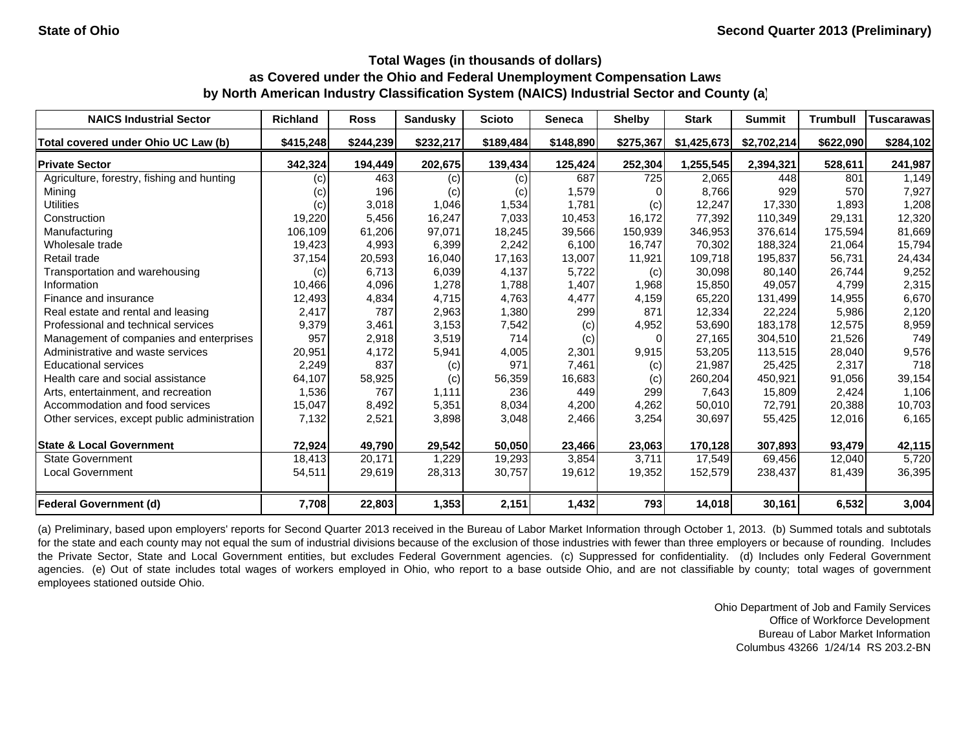| <b>NAICS Industrial Sector</b>               | <b>Richland</b> | <b>Ross</b> | Sandusky  | <b>Scioto</b> | <b>Seneca</b> | <b>Shelby</b> | <b>Stark</b> | <b>Summit</b> | <b>Trumbull</b> | <b>Tuscarawas</b> |
|----------------------------------------------|-----------------|-------------|-----------|---------------|---------------|---------------|--------------|---------------|-----------------|-------------------|
| Total covered under Ohio UC Law (b)          | \$415,248       | \$244,239   | \$232,217 | \$189,484     | \$148,890     | \$275,367     | \$1,425,673  | \$2,702,214   | \$622,090       | \$284,102         |
| <b>Private Sector</b>                        | 342,324         | 194,449     | 202,675   | 139,434       | 125,424       | 252,304       | 1,255,545    | 2,394,321     | 528,611         | 241,987           |
| Agriculture, forestry, fishing and hunting   | (c)             | 463         | (c)       | (c)           | 687           | 725           | 2,065        | 448           | 801             | 1,149             |
| Mining                                       | (c)             | 196         | (c)       | (c)           | 1,579         |               | 8,766        | 929           | 570             | 7,927             |
| <b>Utilities</b>                             | (c)             | 3,018       | 1,046     | 1,534         | 1,781         | (c)           | 12,247       | 17,330        | 1,893           | 1,208             |
| Construction                                 | 19,220          | 5,456       | 16,247    | 7,033         | 10.453        | 16,172        | 77,392       | 110.349       | 29,131          | 12,320            |
| Manufacturing                                | 106,109         | 61,206      | 97,071    | 18,245        | 39,566        | 150,939       | 346,953      | 376,614       | 175,594         | 81,669            |
| Wholesale trade                              | 19,423          | 4,993       | 6,399     | 2,242         | 6.100         | 16,747        | 70,302       | 188,324       | 21,064          | 15,794            |
| Retail trade                                 | 37,154          | 20,593      | 16,040    | 17,163        | 13,007        | 11,921        | 109,718      | 195,837       | 56,731          | 24,434            |
| Transportation and warehousing               | (c)             | 6,713       | 6,039     | 4,137         | 5,722         | (c)           | 30,098       | 80.140        | 26,744          | 9,252             |
| Information                                  | 10,466          | 4,096       | 1,278     | 1,788         | 1,407         | 1,968         | 15,850       | 49,057        | 4,799           | 2,315             |
| Finance and insurance                        | 12,493          | 4,834       | 4,715     | 4,763         | 4,477         | 4,159         | 65,220       | 131,499       | 14,955          | 6,670             |
| Real estate and rental and leasing           | 2,417           | 787         | 2,963     | 1,380         | 299           | 871           | 12,334       | 22,224        | 5,986           | 2,120             |
| Professional and technical services          | 9,379           | 3,461       | 3,153     | 7,542         | (c)           | 4,952         | 53,690       | 183,178       | 12,575          | 8,959             |
| Management of companies and enterprises      | 957             | 2,918       | 3,519     | 714           | (c)           |               | 27,165       | 304.510       | 21,526          | 749               |
| Administrative and waste services            | 20,951          | 4,172       | 5,941     | 4,005         | 2,301         | 9,915         | 53,205       | 113,515       | 28,040          | 9,576             |
| <b>Educational services</b>                  | 2,249           | 837         | (c)       | 971           | 7,461         | (c)           | 21,987       | 25,425        | 2,317           | 718               |
| Health care and social assistance            | 64,107          | 58,925      | (c)       | 56,359        | 16,683        | (c)           | 260,204      | 450,921       | 91,056          | 39,154            |
| Arts, entertainment, and recreation          | 1,536           | 767         | 1,111     | 236           | 449           | 299           | 7,643        | 15,809        | 2,424           | 1,106             |
| Accommodation and food services              | 15,047          | 8,492       | 5,351     | 8,034         | 4,200         | 4,262         | 50,010       | 72,791        | 20,388          | 10,703            |
| Other services, except public administration | 7,132           | 2,521       | 3,898     | 3,048         | 2,466         | 3,254         | 30,697       | 55,425        | 12,016          | 6,165             |
| <b>State &amp; Local Government</b>          | 72,924          | 49,790      | 29,542    | 50,050        | 23,466        | 23,063        | 170,128      | 307,893       | 93,479          | 42,115            |
| <b>State Government</b>                      | 18,413          | 20,171      | 1,229     | 19,293        | 3,854         | 3,711         | 17,549       | 69,456        | 12,040          | 5,720             |
| <b>Local Government</b>                      | 54,511          | 29,619      | 28,313    | 30,757        | 19,612        | 19,352        | 152,579      | 238,437       | 81,439          | 36,395            |
| <b>Federal Government (d)</b>                | 7,708           | 22,803      | 1,353     | 2,151         | 1,432         | 793           | 14,018       | 30,161        | 6,532           | 3,004             |

(a) Preliminary, based upon employers' reports for Second Quarter 2013 received in the Bureau of Labor Market Information through October 1, 2013. (b) Summed totals and subtotals for the state and each county may not equal the sum of industrial divisions because of the exclusion of those industries with fewer than three employers or because of rounding. Includes the Private Sector, State and Local Government entities, but excludes Federal Government agencies. (c) Suppressed for confidentiality. (d) Includes only Federal Government agencies. (e) Out of state includes total wages of workers employed in Ohio, who report to a base outside Ohio, and are not classifiable by county; total wages of government employees stationed outside Ohio.